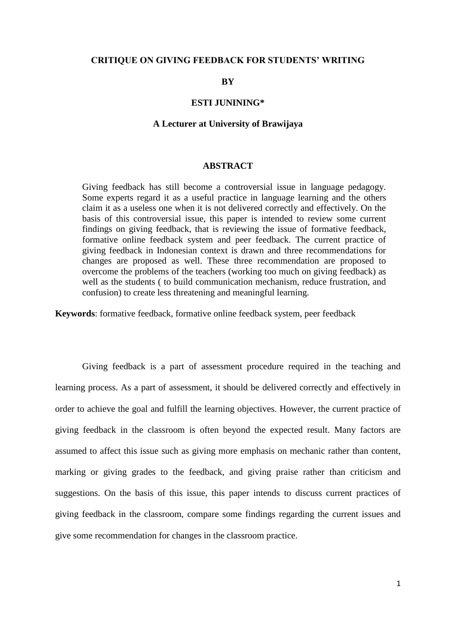#### **CRITIQUE ON GIVING FEEDBACK FOR STUDENTS' WRITING**

# **BY**

#### **ESTI JUNINING\***

#### **A Lecturer at University of Brawijaya**

## **ABSTRACT**

Giving feedback has still become a controversial issue in language pedagogy. Some experts regard it as a useful practice in language learning and the others claim it as a useless one when it is not delivered correctly and effectively. On the basis of this controversial issue, this paper is intended to review some current findings on giving feedback, that is reviewing the issue of formative feedback, formative online feedback system and peer feedback. The current practice of giving feedback in Indonesian context is drawn and three recommendations for changes are proposed as well. These three recommendation are proposed to overcome the problems of the teachers (working too much on giving feedback) as well as the students ( to build communication mechanism, reduce frustration, and confusion) to create less threatening and meaningful learning.

**Keywords**: formative feedback, formative online feedback system, peer feedback

Giving feedback is a part of assessment procedure required in the teaching and learning process. As a part of assessment, it should be delivered correctly and effectively in order to achieve the goal and fulfill the learning objectives. However, the current practice of giving feedback in the classroom is often beyond the expected result. Many factors are assumed to affect this issue such as giving more emphasis on mechanic rather than content, marking or giving grades to the feedback, and giving praise rather than criticism and suggestions. On the basis of this issue, this paper intends to discuss current practices of giving feedback in the classroom, compare some findings regarding the current issues and give some recommendation for changes in the classroom practice.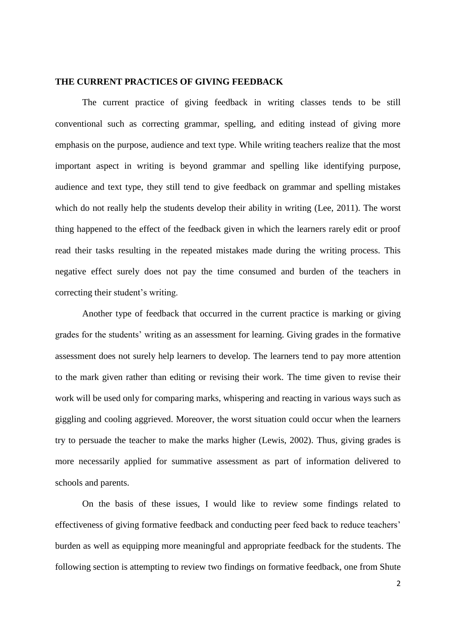## **THE CURRENT PRACTICES OF GIVING FEEDBACK**

The current practice of giving feedback in writing classes tends to be still conventional such as correcting grammar, spelling, and editing instead of giving more emphasis on the purpose, audience and text type. While writing teachers realize that the most important aspect in writing is beyond grammar and spelling like identifying purpose, audience and text type, they still tend to give feedback on grammar and spelling mistakes which do not really help the students develop their ability in writing (Lee, 2011). The worst thing happened to the effect of the feedback given in which the learners rarely edit or proof read their tasks resulting in the repeated mistakes made during the writing process. This negative effect surely does not pay the time consumed and burden of the teachers in correcting their student"s writing.

Another type of feedback that occurred in the current practice is marking or giving grades for the students" writing as an assessment for learning. Giving grades in the formative assessment does not surely help learners to develop. The learners tend to pay more attention to the mark given rather than editing or revising their work. The time given to revise their work will be used only for comparing marks, whispering and reacting in various ways such as giggling and cooling aggrieved. Moreover, the worst situation could occur when the learners try to persuade the teacher to make the marks higher (Lewis, 2002). Thus, giving grades is more necessarily applied for summative assessment as part of information delivered to schools and parents.

On the basis of these issues, I would like to review some findings related to effectiveness of giving formative feedback and conducting peer feed back to reduce teachers" burden as well as equipping more meaningful and appropriate feedback for the students. The following section is attempting to review two findings on formative feedback, one from Shute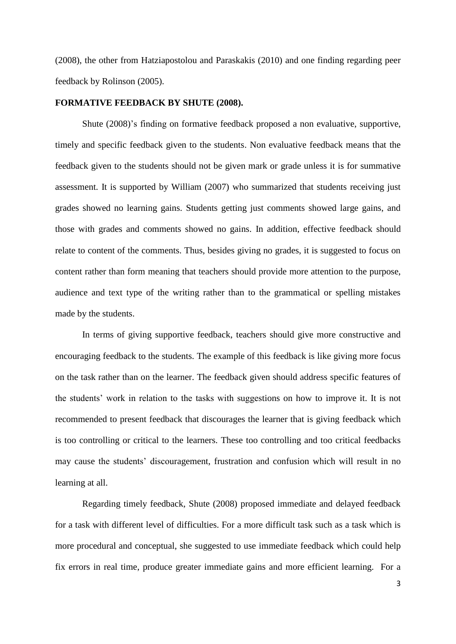(2008), the other from Hatziapostolou and Paraskakis (2010) and one finding regarding peer feedback by Rolinson (2005).

#### **FORMATIVE FEEDBACK BY SHUTE (2008).**

Shute (2008)"s finding on formative feedback proposed a non evaluative, supportive, timely and specific feedback given to the students. Non evaluative feedback means that the feedback given to the students should not be given mark or grade unless it is for summative assessment. It is supported by William (2007) who summarized that students receiving just grades showed no learning gains. Students getting just comments showed large gains, and those with grades and comments showed no gains. In addition, effective feedback should relate to content of the comments. Thus, besides giving no grades, it is suggested to focus on content rather than form meaning that teachers should provide more attention to the purpose, audience and text type of the writing rather than to the grammatical or spelling mistakes made by the students.

In terms of giving supportive feedback, teachers should give more constructive and encouraging feedback to the students. The example of this feedback is like giving more focus on the task rather than on the learner. The feedback given should address specific features of the students" work in relation to the tasks with suggestions on how to improve it. It is not recommended to present feedback that discourages the learner that is giving feedback which is too controlling or critical to the learners. These too controlling and too critical feedbacks may cause the students' discouragement, frustration and confusion which will result in no learning at all.

Regarding timely feedback, Shute (2008) proposed immediate and delayed feedback for a task with different level of difficulties. For a more difficult task such as a task which is more procedural and conceptual, she suggested to use immediate feedback which could help fix errors in real time, produce greater immediate gains and more efficient learning. For a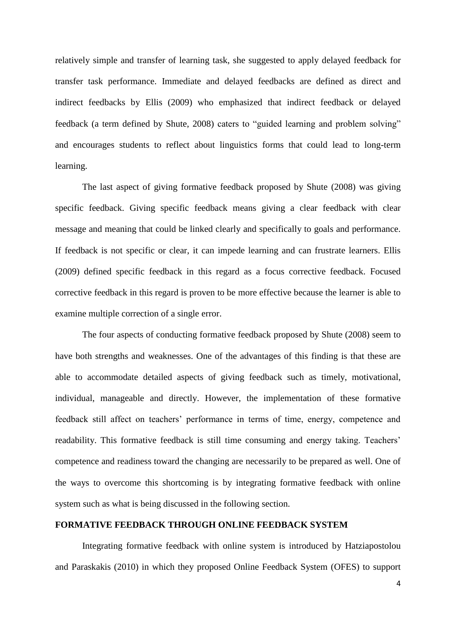relatively simple and transfer of learning task, she suggested to apply delayed feedback for transfer task performance. Immediate and delayed feedbacks are defined as direct and indirect feedbacks by Ellis (2009) who emphasized that indirect feedback or delayed feedback (a term defined by Shute, 2008) caters to "guided learning and problem solving" and encourages students to reflect about linguistics forms that could lead to long-term learning.

The last aspect of giving formative feedback proposed by Shute (2008) was giving specific feedback. Giving specific feedback means giving a clear feedback with clear message and meaning that could be linked clearly and specifically to goals and performance. If feedback is not specific or clear, it can impede learning and can frustrate learners. Ellis (2009) defined specific feedback in this regard as a focus corrective feedback. Focused corrective feedback in this regard is proven to be more effective because the learner is able to examine multiple correction of a single error.

The four aspects of conducting formative feedback proposed by Shute (2008) seem to have both strengths and weaknesses. One of the advantages of this finding is that these are able to accommodate detailed aspects of giving feedback such as timely, motivational, individual, manageable and directly. However, the implementation of these formative feedback still affect on teachers" performance in terms of time, energy, competence and readability. This formative feedback is still time consuming and energy taking. Teachers' competence and readiness toward the changing are necessarily to be prepared as well. One of the ways to overcome this shortcoming is by integrating formative feedback with online system such as what is being discussed in the following section.

# **FORMATIVE FEEDBACK THROUGH ONLINE FEEDBACK SYSTEM**

Integrating formative feedback with online system is introduced by Hatziapostolou and Paraskakis (2010) in which they proposed Online Feedback System (OFES) to support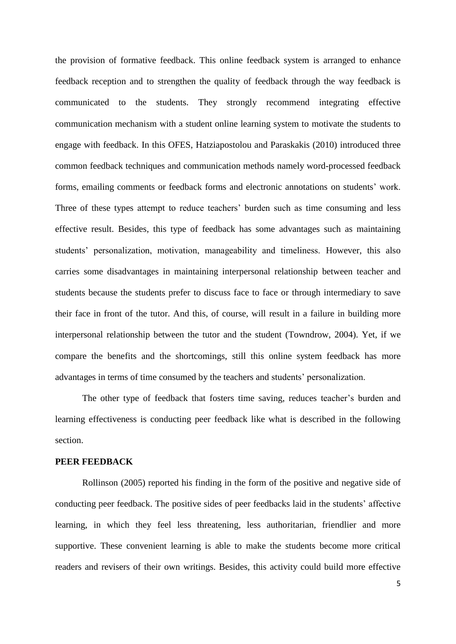the provision of formative feedback. This online feedback system is arranged to enhance feedback reception and to strengthen the quality of feedback through the way feedback is communicated to the students. They strongly recommend integrating effective communication mechanism with a student online learning system to motivate the students to engage with feedback. In this OFES, Hatziapostolou and Paraskakis (2010) introduced three common feedback techniques and communication methods namely word-processed feedback forms, emailing comments or feedback forms and electronic annotations on students" work. Three of these types attempt to reduce teachers' burden such as time consuming and less effective result. Besides, this type of feedback has some advantages such as maintaining students' personalization, motivation, manageability and timeliness. However, this also carries some disadvantages in maintaining interpersonal relationship between teacher and students because the students prefer to discuss face to face or through intermediary to save their face in front of the tutor. And this, of course, will result in a failure in building more interpersonal relationship between the tutor and the student (Towndrow, 2004). Yet, if we compare the benefits and the shortcomings, still this online system feedback has more advantages in terms of time consumed by the teachers and students' personalization.

The other type of feedback that fosters time saving, reduces teacher"s burden and learning effectiveness is conducting peer feedback like what is described in the following section.

#### **PEER FEEDBACK**

Rollinson (2005) reported his finding in the form of the positive and negative side of conducting peer feedback. The positive sides of peer feedbacks laid in the students" affective learning, in which they feel less threatening, less authoritarian, friendlier and more supportive. These convenient learning is able to make the students become more critical readers and revisers of their own writings. Besides, this activity could build more effective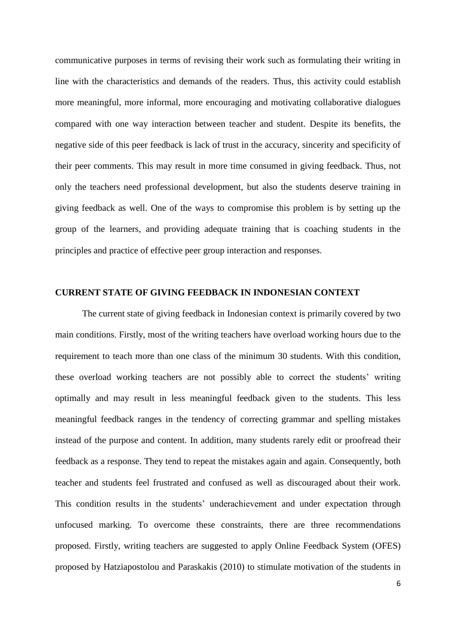communicative purposes in terms of revising their work such as formulating their writing in line with the characteristics and demands of the readers. Thus, this activity could establish more meaningful, more informal, more encouraging and motivating collaborative dialogues compared with one way interaction between teacher and student. Despite its benefits, the negative side of this peer feedback is lack of trust in the accuracy, sincerity and specificity of their peer comments. This may result in more time consumed in giving feedback. Thus, not only the teachers need professional development, but also the students deserve training in giving feedback as well. One of the ways to compromise this problem is by setting up the group of the learners, and providing adequate training that is coaching students in the principles and practice of effective peer group interaction and responses.

# **CURRENT STATE OF GIVING FEEDBACK IN INDONESIAN CONTEXT**

The current state of giving feedback in Indonesian context is primarily covered by two main conditions. Firstly, most of the writing teachers have overload working hours due to the requirement to teach more than one class of the minimum 30 students. With this condition, these overload working teachers are not possibly able to correct the students" writing optimally and may result in less meaningful feedback given to the students. This less meaningful feedback ranges in the tendency of correcting grammar and spelling mistakes instead of the purpose and content. In addition, many students rarely edit or proofread their feedback as a response. They tend to repeat the mistakes again and again. Consequently, both teacher and students feel frustrated and confused as well as discouraged about their work. This condition results in the students" underachievement and under expectation through unfocused marking. To overcome these constraints, there are three recommendations proposed. Firstly, writing teachers are suggested to apply Online Feedback System (OFES) proposed by Hatziapostolou and Paraskakis (2010) to stimulate motivation of the students in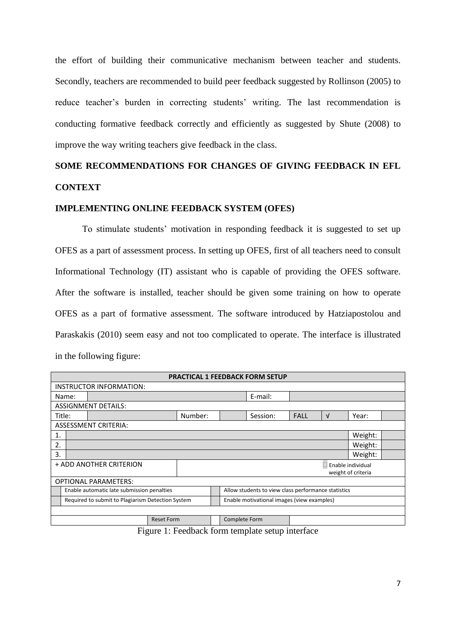the effort of building their communicative mechanism between teacher and students. Secondly, teachers are recommended to build peer feedback suggested by Rollinson (2005) to reduce teacher's burden in correcting students' writing. The last recommendation is conducting formative feedback correctly and efficiently as suggested by Shute (2008) to improve the way writing teachers give feedback in the class.

# **SOME RECOMMENDATIONS FOR CHANGES OF GIVING FEEDBACK IN EFL CONTEXT**

#### **IMPLEMENTING ONLINE FEEDBACK SYSTEM (OFES)**

To stimulate students" motivation in responding feedback it is suggested to set up OFES as a part of assessment process. In setting up OFES, first of all teachers need to consult Informational Technology (IT) assistant who is capable of providing the OFES software. After the software is installed, teacher should be given some training on how to operate OFES as a part of formative assessment. The software introduced by Hatziapostolou and Paraskakis (2010) seem easy and not too complicated to operate. The interface is illustrated in the following figure:

| <b>PRACTICAL 1 FEEDBACK FORM SETUP</b> |                                                   |         |  |  |               |                                                     |                                                              |             |  |   |         |  |
|----------------------------------------|---------------------------------------------------|---------|--|--|---------------|-----------------------------------------------------|--------------------------------------------------------------|-------------|--|---|---------|--|
| INSTRUCTOR INFORMATION:                |                                                   |         |  |  |               |                                                     |                                                              |             |  |   |         |  |
|                                        | Name:                                             |         |  |  |               |                                                     | E-mail:                                                      |             |  |   |         |  |
| <b>ASSIGNMENT DETAILS:</b>             |                                                   |         |  |  |               |                                                     |                                                              |             |  |   |         |  |
| Title:                                 |                                                   | Number: |  |  |               |                                                     | Session:                                                     | <b>FALL</b> |  | V | Year:   |  |
| <b>ASSESSMENT CRITERIA:</b>            |                                                   |         |  |  |               |                                                     |                                                              |             |  |   |         |  |
| 1.                                     |                                                   |         |  |  |               |                                                     |                                                              |             |  |   | Weight: |  |
| 2.                                     |                                                   |         |  |  |               |                                                     |                                                              |             |  |   | Weight: |  |
| 3.                                     |                                                   |         |  |  |               |                                                     |                                                              |             |  |   | Weight: |  |
| + ADD ANOTHER CRITERION                |                                                   |         |  |  |               | Enable individual                                   |                                                              |             |  |   |         |  |
| weight of criteria                     |                                                   |         |  |  |               |                                                     |                                                              |             |  |   |         |  |
| <b>OPTIONAL PARAMETERS:</b>            |                                                   |         |  |  |               |                                                     |                                                              |             |  |   |         |  |
|                                        | Enable automatic late submission penalties        |         |  |  |               | Allow students to view class performance statistics |                                                              |             |  |   |         |  |
|                                        | Required to submit to Plagiarism Detection System |         |  |  |               | Enable motivational images (view examples)          |                                                              |             |  |   |         |  |
|                                        |                                                   |         |  |  |               |                                                     |                                                              |             |  |   |         |  |
| <b>Reset Form</b>                      |                                                   |         |  |  | Complete Form |                                                     |                                                              |             |  |   |         |  |
|                                        |                                                   |         |  |  |               |                                                     | $\mathbf{F}^*$ are in the start of the start of $\mathbf{F}$ |             |  |   |         |  |

Figure 1: Feedback form template setup interface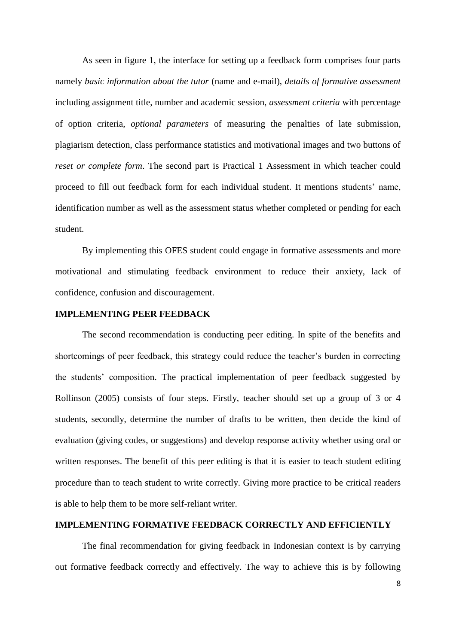As seen in figure 1, the interface for setting up a feedback form comprises four parts namely *basic information about the tutor* (name and e-mail), *details of formative assessment* including assignment title, number and academic session, *assessment criteria* with percentage of option criteria, *optional parameters* of measuring the penalties of late submission, plagiarism detection, class performance statistics and motivational images and two buttons of *reset or complete form*. The second part is Practical 1 Assessment in which teacher could proceed to fill out feedback form for each individual student. It mentions students" name, identification number as well as the assessment status whether completed or pending for each student.

By implementing this OFES student could engage in formative assessments and more motivational and stimulating feedback environment to reduce their anxiety, lack of confidence, confusion and discouragement.

# **IMPLEMENTING PEER FEEDBACK**

The second recommendation is conducting peer editing. In spite of the benefits and shortcomings of peer feedback, this strategy could reduce the teacher"s burden in correcting the students" composition. The practical implementation of peer feedback suggested by Rollinson (2005) consists of four steps. Firstly, teacher should set up a group of 3 or 4 students, secondly, determine the number of drafts to be written, then decide the kind of evaluation (giving codes, or suggestions) and develop response activity whether using oral or written responses. The benefit of this peer editing is that it is easier to teach student editing procedure than to teach student to write correctly. Giving more practice to be critical readers is able to help them to be more self-reliant writer.

# **IMPLEMENTING FORMATIVE FEEDBACK CORRECTLY AND EFFICIENTLY**

The final recommendation for giving feedback in Indonesian context is by carrying out formative feedback correctly and effectively. The way to achieve this is by following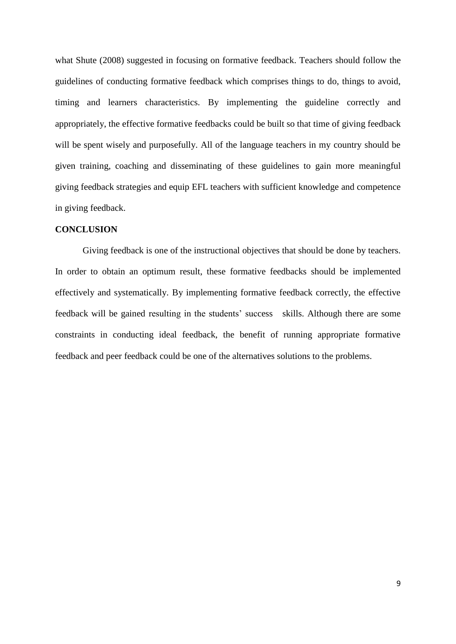what Shute (2008) suggested in focusing on formative feedback. Teachers should follow the guidelines of conducting formative feedback which comprises things to do, things to avoid, timing and learners characteristics. By implementing the guideline correctly and appropriately, the effective formative feedbacks could be built so that time of giving feedback will be spent wisely and purposefully. All of the language teachers in my country should be given training, coaching and disseminating of these guidelines to gain more meaningful giving feedback strategies and equip EFL teachers with sufficient knowledge and competence in giving feedback.

## **CONCLUSION**

Giving feedback is one of the instructional objectives that should be done by teachers. In order to obtain an optimum result, these formative feedbacks should be implemented effectively and systematically. By implementing formative feedback correctly, the effective feedback will be gained resulting in the students" success skills. Although there are some constraints in conducting ideal feedback, the benefit of running appropriate formative feedback and peer feedback could be one of the alternatives solutions to the problems.